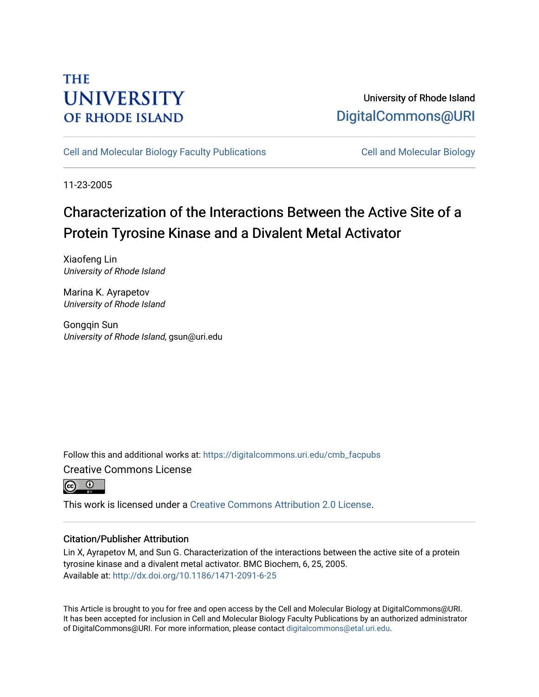# **THE UNIVERSITY OF RHODE ISLAND**

## University of Rhode Island [DigitalCommons@URI](https://digitalcommons.uri.edu/)

[Cell and Molecular Biology Faculty Publications](https://digitalcommons.uri.edu/cmb_facpubs) [Cell and Molecular Biology](https://digitalcommons.uri.edu/cmb) 

11-23-2005

# Characterization of the Interactions Between the Active Site of a Protein Tyrosine Kinase and a Divalent Metal Activator

Xiaofeng Lin University of Rhode Island

Marina K. Ayrapetov University of Rhode Island

Gongqin Sun University of Rhode Island, gsun@uri.edu

Follow this and additional works at: [https://digitalcommons.uri.edu/cmb\\_facpubs](https://digitalcommons.uri.edu/cmb_facpubs?utm_source=digitalcommons.uri.edu%2Fcmb_facpubs%2F4&utm_medium=PDF&utm_campaign=PDFCoverPages)  Creative Commons License



This work is licensed under a [Creative Commons Attribution 2.0 License](https://creativecommons.org/licenses/by/2.0/).

### Citation/Publisher Attribution

Lin X, Ayrapetov M, and Sun G. Characterization of the interactions between the active site of a protein tyrosine kinase and a divalent metal activator. BMC Biochem, 6, 25, 2005. Available at:<http://dx.doi.org/10.1186/1471-2091-6-25>

This Article is brought to you for free and open access by the Cell and Molecular Biology at DigitalCommons@URI. It has been accepted for inclusion in Cell and Molecular Biology Faculty Publications by an authorized administrator of DigitalCommons@URI. For more information, please contact [digitalcommons@etal.uri.edu](mailto:digitalcommons@etal.uri.edu).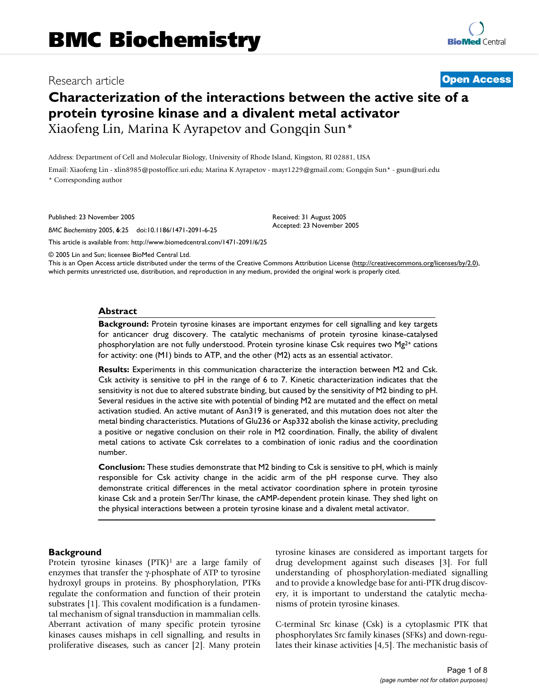### Research article **[Open Access](http://www.biomedcentral.com/info/about/charter/)**

## **Characterization of the interactions between the active site of a protein tyrosine kinase and a divalent metal activator** Xiaofeng Lin, Marina K Ayrapetov and Gongqin Sun\*

Address: Department of Cell and Molecular Biology, University of Rhode Island, Kingston, RI 02881, USA

Email: Xiaofeng Lin - xlin8985@postoffice.uri.edu; Marina K Ayrapetov - mayr1229@gmail.com; Gongqin Sun\* - gsun@uri.edu \* Corresponding author

Published: 23 November 2005

*BMC Biochemistry* 2005, **6**:25 doi:10.1186/1471-2091-6-25

[This article is available from: http://www.biomedcentral.com/1471-2091/6/25](http://www.biomedcentral.com/1471-2091/6/25)

© 2005 Lin and Sun; licensee BioMed Central Ltd.

This is an Open Access article distributed under the terms of the Creative Commons Attribution License [\(http://creativecommons.org/licenses/by/2.0\)](http://creativecommons.org/licenses/by/2.0), which permits unrestricted use, distribution, and reproduction in any medium, provided the original work is properly cited.

Received: 31 August 2005 Accepted: 23 November 2005

#### **Abstract**

**Background:** Protein tyrosine kinases are important enzymes for cell signalling and key targets for anticancer drug discovery. The catalytic mechanisms of protein tyrosine kinase-catalysed phosphorylation are not fully understood. Protein tyrosine kinase Csk requires two  $Mg^{2+}$  cations for activity: one (M1) binds to ATP, and the other (M2) acts as an essential activator.

**Results:** Experiments in this communication characterize the interaction between M2 and Csk. Csk activity is sensitive to pH in the range of 6 to 7. Kinetic characterization indicates that the sensitivity is not due to altered substrate binding, but caused by the sensitivity of M2 binding to pH. Several residues in the active site with potential of binding M2 are mutated and the effect on metal activation studied. An active mutant of Asn319 is generated, and this mutation does not alter the metal binding characteristics. Mutations of Glu236 or Asp332 abolish the kinase activity, precluding a positive or negative conclusion on their role in M2 coordination. Finally, the ability of divalent metal cations to activate Csk correlates to a combination of ionic radius and the coordination number.

**Conclusion:** These studies demonstrate that M2 binding to Csk is sensitive to pH, which is mainly responsible for Csk activity change in the acidic arm of the pH response curve. They also demonstrate critical differences in the metal activator coordination sphere in protein tyrosine kinase Csk and a protein Ser/Thr kinase, the cAMP-dependent protein kinase. They shed light on the physical interactions between a protein tyrosine kinase and a divalent metal activator.

#### **Background**

Protein tyrosine kinases (PTK)<sup>1</sup> are a large family of enzymes that transfer the γ-phosphate of ATP to tyrosine hydroxyl groups in proteins. By phosphorylation, PTKs regulate the conformation and function of their protein substrates [1]. This covalent modification is a fundamental mechanism of signal transduction in mammalian cells. Aberrant activation of many specific protein tyrosine kinases causes mishaps in cell signalling, and results in proliferative diseases, such as cancer [2]. Many protein tyrosine kinases are considered as important targets for drug development against such diseases [3]. For full understanding of phosphorylation-mediated signalling and to provide a knowledge base for anti-PTK drug discovery, it is important to understand the catalytic mechanisms of protein tyrosine kinases.

C-terminal Src kinase (Csk) is a cytoplasmic PTK that phosphorylates Src family kinases (SFKs) and down-regulates their kinase activities [4,5]. The mechanistic basis of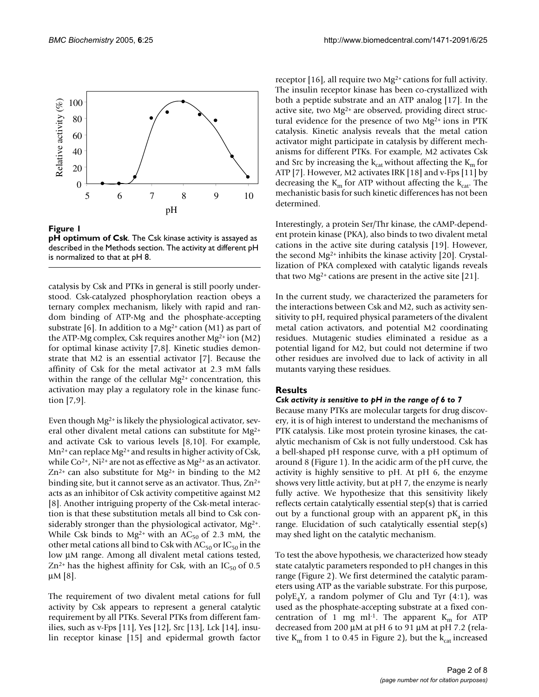

**pH optimum of Csk**. The Csk kinase activity is assayed as described in the Methods section. The activity at different pH

catalysis by Csk and PTKs in general is still poorly understood. Csk-catalyzed phosphorylation reaction obeys a ternary complex mechanism, likely with rapid and random binding of ATP-Mg and the phosphate-accepting substrate [6]. In addition to a Mg<sup>2+</sup> cation (M1) as part of the ATP-Mg complex, Csk requires another  $Mg^{2+}$  ion (M2) for optimal kinase activity [7,8]. Kinetic studies demonstrate that M2 is an essential activator [7]. Because the affinity of Csk for the metal activator at 2.3 mM falls within the range of the cellular Mg<sup>2+</sup> concentration, this activation may play a regulatory role in the kinase function [7,9].

Even though Mg2+ is likely the physiological activator, several other divalent metal cations can substitute for Mg2+ and activate Csk to various levels [8,10]. For example, Mn2+ can replace Mg2+ and results in higher activity of Csk, while  $Co^{2+}$ , Ni<sup>2+</sup> are not as effective as Mg<sup>2+</sup> as an activator.  $Zn^{2+}$  can also substitute for Mg<sup>2+</sup> in binding to the M2 binding site, but it cannot serve as an activator. Thus,  $Zn^{2+}$ acts as an inhibitor of Csk activity competitive against M2 [8]. Another intriguing property of the Csk-metal interaction is that these substitution metals all bind to Csk considerably stronger than the physiological activator,  $Mg^{2+}$ . While Csk binds to Mg<sup>2+</sup> with an AC<sub>50</sub> of 2.3 mM, the other metal cations all bind to Csk with  $AC_{50}$  or  $IC_{50}$  in the low µM range. Among all divalent metal cations tested,  $Zn^{2+}$  has the highest affinity for Csk, with an IC<sub>50</sub> of 0.5  $\mu$ M [8].

The requirement of two divalent metal cations for full activity by Csk appears to represent a general catalytic requirement by all PTKs. Several PTKs from different families, such as v-Fps [11], Yes [12], Src [13], Lck [14], insulin receptor kinase [15] and epidermal growth factor

receptor [16], all require two Mg2+ cations for full activity. The insulin receptor kinase has been co-crystallized with both a peptide substrate and an ATP analog [17]. In the active site, two Mg2+ are observed, providing direct structural evidence for the presence of two Mg<sup>2+</sup> ions in PTK catalysis. Kinetic analysis reveals that the metal cation activator might participate in catalysis by different mechanisms for different PTKs. For example, M2 activates Csk and Src by increasing the  $k_{cat}$  without affecting the  $K_m$  for ATP [7]. However, M2 activates IRK [18] and v-Fps [11] by decreasing the  $K_m$  for ATP without affecting the  $k_{cat}$ . The mechanistic basis for such kinetic differences has not been determined.

Interestingly, a protein Ser/Thr kinase, the cAMP-dependent protein kinase (PKA), also binds to two divalent metal cations in the active site during catalysis [19]. However, the second Mg2+ inhibits the kinase activity [20]. Crystallization of PKA complexed with catalytic ligands reveals that two  $Mg^{2+}$  cations are present in the active site [21].

In the current study, we characterized the parameters for the interactions between Csk and M2, such as activity sensitivity to pH, required physical parameters of the divalent metal cation activators, and potential M2 coordinating residues. Mutagenic studies eliminated a residue as a potential ligand for M2, but could not determine if two other residues are involved due to lack of activity in all mutants varying these residues.

#### **Results**

#### *Csk activity is sensitive to pH in the range of 6 to 7*

Because many PTKs are molecular targets for drug discovery, it is of high interest to understand the mechanisms of PTK catalysis. Like most protein tyrosine kinases, the catalytic mechanism of Csk is not fully understood. Csk has a bell-shaped pH response curve, with a pH optimum of around 8 (Figure 1). In the acidic arm of the pH curve, the activity is highly sensitive to pH. At pH 6, the enzyme shows very little activity, but at pH 7, the enzyme is nearly fully active. We hypothesize that this sensitivity likely reflects certain catalytically essential step(s) that is carried out by a functional group with an apparent  $pK_a$  in this range. Elucidation of such catalytically essential step(s) may shed light on the catalytic mechanism.

To test the above hypothesis, we characterized how steady state catalytic parameters responded to pH changes in this range (Figure 2). We first determined the catalytic parameters using ATP as the variable substrate. For this purpose,  $polyE_4Y$ , a random polymer of Glu and Tyr  $(4:1)$ , was used as the phosphate-accepting substrate at a fixed concentration of 1 mg ml<sup>-1</sup>. The apparent  $K<sub>m</sub>$  for ATP decreased from 200 µM at pH 6 to 91 µM at pH 7.2 (relative  $K<sub>m</sub>$  from 1 to 0.45 in Figure 2), but the  $k<sub>cat</sub>$  increased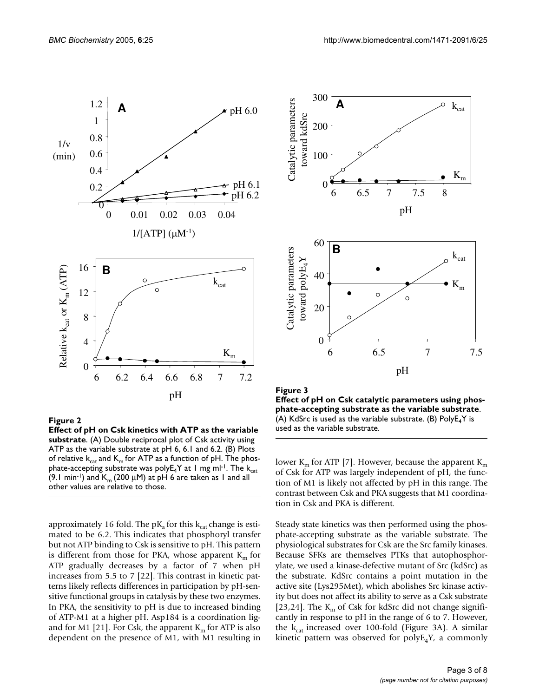

#### **Figure 2 Effect of pH on Csk kinetics with ATP as the variable substrate**. (A) Double reciprocal plot of Csk activity using ATP as the variable substrate at pH 6, 6.1 and 6.2. (B) Plots of relative  $k_{cat}$  and  $K_m$  for ATP as a function of pH. The phosphate-accepting substrate was poly $E_4$ Y at 1 mg ml<sup>-1</sup>. The  $k_{cat}$ (9.1 min<sup>-1</sup>) and  $K_m$  (200 µM) at pH 6 are taken as 1 and all other values are relative to those.

approximately 16 fold. The  $pK_a$  for this  $k_{cat}$  change is estimated to be 6.2. This indicates that phosphoryl transfer but not ATP binding to Csk is sensitive to pH. This pattern is different from those for PKA, whose apparent  $K<sub>m</sub>$  for ATP gradually decreases by a factor of 7 when pH increases from 5.5 to 7 [22]. This contrast in kinetic patterns likely reflects differences in participation by pH-sensitive functional groups in catalysis by these two enzymes. In PKA, the sensitivity to pH is due to increased binding of ATP-M1 at a higher pH. Asp184 is a coordination ligand for M1 [21]. For Csk, the apparent  $K_m$  for ATP is also dependent on the presence of M1, with M1 resulting in



Figure 3 **Effect of pH on Csk catalytic parameters using phosphate-accepting substrate as the variable substrate**. (A) KdSrc is used as the variable substrate. (B) Poly $E_4$ Y is used as the variable substrate.

lower  $K_m$  for ATP [7]. However, because the apparent  $K_m$ of Csk for ATP was largely independent of pH, the function of M1 is likely not affected by pH in this range. The contrast between Csk and PKA suggests that M1 coordination in Csk and PKA is different.

Steady state kinetics was then performed using the phosphate-accepting substrate as the variable substrate. The physiological substrates for Csk are the Src family kinases. Because SFKs are themselves PTKs that autophosphorylate, we used a kinase-defective mutant of Src (kdSrc) as the substrate. KdSrc contains a point mutation in the active site (Lys295Met), which abolishes Src kinase activity but does not affect its ability to serve as a Csk substrate [23,24]. The  $K_m$  of Csk for kdSrc did not change significantly in response to pH in the range of 6 to 7. However, the  $k_{cat}$  increased over 100-fold (Figure 3A). A similar kinetic pattern was observed for  $\text{polyE}_4\text{Y}$ , a commonly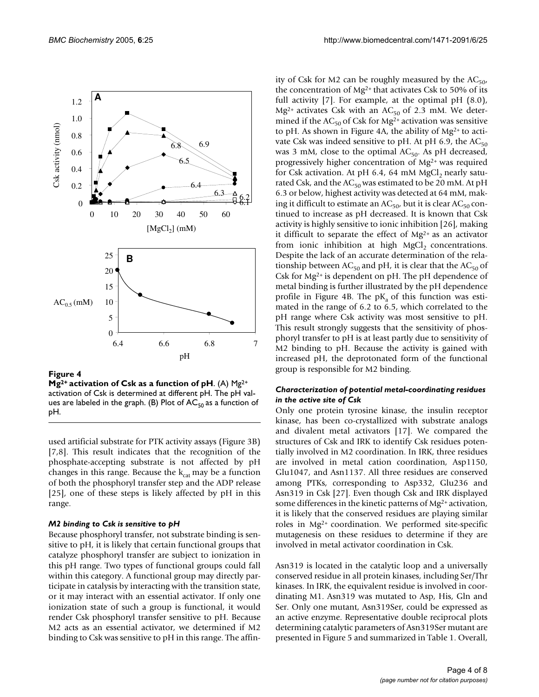

**Mg2+ activation of Csk as a function of pH**. (A) Mg2+ activation of Csk is determined at different pH. The pH values are labeled in the graph. (B) Plot of  $AC_{50}$  as a function of pH.

used artificial substrate for PTK activity assays (Figure 3B) [7,8]. This result indicates that the recognition of the phosphate-accepting substrate is not affected by pH changes in this range. Because the  $k_{cat}$  may be a function of both the phosphoryl transfer step and the ADP release [25], one of these steps is likely affected by pH in this range.

#### *M2 binding to Csk is sensitive to pH*

Because phosphoryl transfer, not substrate binding is sensitive to pH, it is likely that certain functional groups that catalyze phosphoryl transfer are subject to ionization in this pH range. Two types of functional groups could fall within this category. A functional group may directly participate in catalysis by interacting with the transition state, or it may interact with an essential activator. If only one ionization state of such a group is functional, it would render Csk phosphoryl transfer sensitive to pH. Because M2 acts as an essential activator, we determined if M2 binding to Csk was sensitive to pH in this range. The affinity of Csk for M2 can be roughly measured by the  $AC_{50}$ , the concentration of  $Mg^{2+}$  that activates Csk to 50% of its full activity [7]. For example, at the optimal pH (8.0), Mg<sup>2+</sup> activates Csk with an AC<sub>50</sub> of 2.3 mM. We determined if the  $AC_{50}$  of Csk for Mg<sup>2+</sup> activation was sensitive to pH. As shown in Figure 4A, the ability of Mg2+ to activate Csk was indeed sensitive to pH. At pH 6.9, the  $AC_{50}$ was 3 mM, close to the optimal  $AC_{50}$ . As pH decreased, progressively higher concentration of Mg2+ was required for Csk activation. At pH  $6.4$ , 64 mM MgCl<sub>2</sub> nearly saturated Csk, and the  $AC_{50}$  was estimated to be 20 mM. At pH 6.3 or below, highest activity was detected at 64 mM, making it difficult to estimate an  $AC_{50}$ , but it is clear  $AC_{50}$  continued to increase as pH decreased. It is known that Csk activity is highly sensitive to ionic inhibition [26], making it difficult to separate the effect of  $Mg^{2+}$  as an activator from ionic inhibition at high  $MgCl<sub>2</sub>$  concentrations. Despite the lack of an accurate determination of the relationship between  $AC_{50}$  and pH, it is clear that the  $AC_{50}$  of Csk for  $Mg^{2+}$  is dependent on pH. The pH dependence of metal binding is further illustrated by the pH dependence profile in Figure 4B. The  $pK<sub>a</sub>$  of this function was estimated in the range of 6.2 to 6.5, which correlated to the pH range where Csk activity was most sensitive to pH. This result strongly suggests that the sensitivity of phosphoryl transfer to pH is at least partly due to sensitivity of M2 binding to pH. Because the activity is gained with increased pH, the deprotonated form of the functional group is responsible for M2 binding.

#### *Characterization of potential metal-coordinating residues in the active site of Csk*

Only one protein tyrosine kinase, the insulin receptor kinase, has been co-crystallized with substrate analogs and divalent metal activators [17]. We compared the structures of Csk and IRK to identify Csk residues potentially involved in M2 coordination. In IRK, three residues are involved in metal cation coordination, Asp1150, Glu1047, and Asn1137. All three residues are conserved among PTKs, corresponding to Asp332, Glu236 and Asn319 in Csk [27]. Even though Csk and IRK displayed some differences in the kinetic patterns of Mg<sup>2+</sup> activation, it is likely that the conserved residues are playing similar roles in Mg2+ coordination. We performed site-specific mutagenesis on these residues to determine if they are involved in metal activator coordination in Csk.

Asn319 is located in the catalytic loop and a universally conserved residue in all protein kinases, including Ser/Thr kinases. In IRK, the equivalent residue is involved in coordinating M1. Asn319 was mutated to Asp, His, Gln and Ser. Only one mutant, Asn319Ser, could be expressed as an active enzyme. Representative double reciprocal plots determining catalytic parameters of Asn319Ser mutant are presented in Figure 5 and summarized in Table 1. Overall,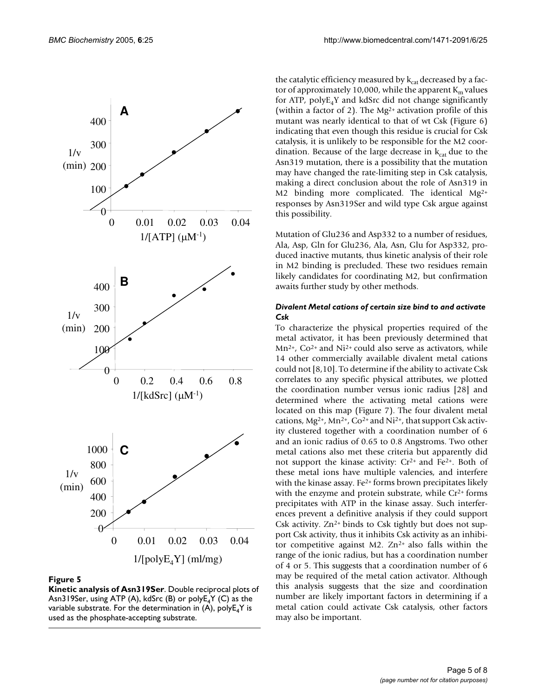

**Kinetic analysis of Asn319Ser**. Double reciprocal plots of Asn319Ser, using ATP (A), kdSrc (B) or  $polyE<sub>4</sub>Y$  (C) as the variable substrate. For the determination in (A),  $polyE_4Y$  is used as the phosphate-accepting substrate.

the catalytic efficiency measured by  $k_{cat}$  decreased by a factor of approximately 10,000, while the apparent  $K<sub>m</sub>$  values for ATP,  $polyE_4Y$  and kdSrc did not change significantly (within a factor of 2). The  $Mg^{2+}$  activation profile of this mutant was nearly identical to that of wt Csk (Figure 6) indicating that even though this residue is crucial for Csk catalysis, it is unlikely to be responsible for the M2 coordination. Because of the large decrease in  $k_{cat}$  due to the Asn319 mutation, there is a possibility that the mutation may have changed the rate-limiting step in Csk catalysis, making a direct conclusion about the role of Asn319 in M2 binding more complicated. The identical Mg2+ responses by Asn319Ser and wild type Csk argue against this possibility.

Mutation of Glu236 and Asp332 to a number of residues, Ala, Asp, Gln for Glu236, Ala, Asn, Glu for Asp332, produced inactive mutants, thus kinetic analysis of their role in M2 binding is precluded. These two residues remain likely candidates for coordinating M2, but confirmation awaits further study by other methods.

#### *Divalent Metal cations of certain size bind to and activate Csk*

To characterize the physical properties required of the metal activator, it has been previously determined that  $Mn^{2+}$ , Co<sup>2+</sup> and Ni<sup>2+</sup> could also serve as activators, while 14 other commercially available divalent metal cations could not [8,10]. To determine if the ability to activate Csk correlates to any specific physical attributes, we plotted the coordination number versus ionic radius [28] and determined where the activating metal cations were located on this map (Figure 7). The four divalent metal cations, Mg2+, Mn2+, Co2+ and Ni2+, that support Csk activity clustered together with a coordination number of 6 and an ionic radius of 0.65 to 0.8 Angstroms. Two other metal cations also met these criteria but apparently did not support the kinase activity:  $Cr^{2+}$  and  $Fe^{2+}$ . Both of these metal ions have multiple valencies, and interfere with the kinase assay. Fe<sup>2+</sup> forms brown precipitates likely with the enzyme and protein substrate, while Cr<sup>2+</sup> forms precipitates with ATP in the kinase assay. Such interferences prevent a definitive analysis if they could support Csk activity.  $Zn^{2+}$  binds to Csk tightly but does not support Csk activity, thus it inhibits Csk activity as an inhibitor competitive against M2.  $Zn^{2+}$  also falls within the range of the ionic radius, but has a coordination number of 4 or 5. This suggests that a coordination number of 6 may be required of the metal cation activator. Although this analysis suggests that the size and coordination number are likely important factors in determining if a metal cation could activate Csk catalysis, other factors may also be important.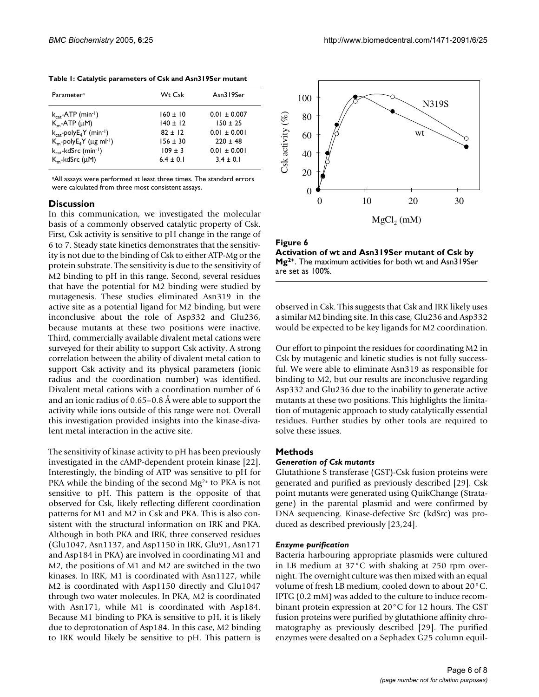|  |  | Table 1: Catalytic parameters of Csk and Asn319Ser mutant |  |  |  |
|--|--|-----------------------------------------------------------|--|--|--|
|--|--|-----------------------------------------------------------|--|--|--|

| Parameter <sup>a</sup>                                                  | Wt Csk                     | Asn319Ser                      |
|-------------------------------------------------------------------------|----------------------------|--------------------------------|
| $k_{\text{cat}}$ -ATP (min <sup>-1</sup> )<br>$K_m$ -ATP ( $\mu$ M)     | $160 \pm 10$<br>$140 + 12$ | $0.01 \pm 0.007$<br>$150 + 25$ |
| $k_{\text{cat}}$ -poly $E_4$ Y (min-1)<br>$K_m$ -poly $E_4$ Y (µg ml-1) | $82 + 12$<br>$156 \pm 30$  | $0.01 \pm 0.001$<br>$220 + 48$ |
| $k_{\text{cat}}$ -kdSrc (min-1)                                         | $109 + 3$                  | $0.01 \pm 0.001$               |
| $K_m$ -kdSrc (uM)                                                       | $6.4 \pm 0.1$              | $3.4 \pm 0.1$                  |

aAll assays were performed at least three times. The standard errors were calculated from three most consistent assays.

#### **Discussion**

In this communication, we investigated the molecular basis of a commonly observed catalytic property of Csk. First, Csk activity is sensitive to pH change in the range of 6 to 7. Steady state kinetics demonstrates that the sensitivity is not due to the binding of Csk to either ATP-Mg or the protein substrate. The sensitivity is due to the sensitivity of M2 binding to pH in this range. Second, several residues that have the potential for M2 binding were studied by mutagenesis. These studies eliminated Asn319 in the active site as a potential ligand for M2 binding, but were inconclusive about the role of Asp332 and Glu236, because mutants at these two positions were inactive. Third, commercially available divalent metal cations were surveyed for their ability to support Csk activity. A strong correlation between the ability of divalent metal cation to support Csk activity and its physical parameters (ionic radius and the coordination number) was identified. Divalent metal cations with a coordination number of 6 and an ionic radius of 0.65–0.8 Å were able to support the activity while ions outside of this range were not. Overall this investigation provided insights into the kinase-divalent metal interaction in the active site.

The sensitivity of kinase activity to pH has been previously investigated in the cAMP-dependent protein kinase [22]. Interestingly, the binding of ATP was sensitive to pH for PKA while the binding of the second Mg<sup>2+</sup> to PKA is not sensitive to pH. This pattern is the opposite of that observed for Csk, likely reflecting different coordination patterns for M1 and M2 in Csk and PKA. This is also consistent with the structural information on IRK and PKA. Although in both PKA and IRK, three conserved residues (Glu1047, Asn1137, and Asp1150 in IRK, Glu91, Asn171 and Asp184 in PKA) are involved in coordinating M1 and M2, the positions of M1 and M2 are switched in the two kinases. In IRK, M1 is coordinated with Asn1127, while M2 is coordinated with Asp1150 directly and Glu1047 through two water molecules. In PKA, M2 is coordinated with Asn171, while M1 is coordinated with Asp184. Because M1 binding to PKA is sensitive to pH, it is likely due to deprotonation of Asp184. In this case, M2 binding to IRK would likely be sensitive to pH. This pattern is



**Figure 6 Activation of wt and Asn319Ser mutant of Csk by Mg2+**. The maximum activities for both wt and Asn319Ser are set as 100%.

observed in Csk. This suggests that Csk and IRK likely uses a similar M2 binding site. In this case, Glu236 and Asp332 would be expected to be key ligands for M2 coordination.

Our effort to pinpoint the residues for coordinating M2 in Csk by mutagenic and kinetic studies is not fully successful. We were able to eliminate Asn319 as responsible for binding to M2, but our results are inconclusive regarding Asp332 and Glu236 due to the inability to generate active mutants at these two positions. This highlights the limitation of mutagenic approach to study catalytically essential residues. Further studies by other tools are required to solve these issues.

#### **Methods**

#### *Generation of Csk mutants*

Glutathione S transferase (GST)-Csk fusion proteins were generated and purified as previously described [29]. Csk point mutants were generated using QuikChange (Stratagene) in the parental plasmid and were confirmed by DNA sequencing. Kinase-defective Src (kdSrc) was produced as described previously [23,24].

#### *Enzyme purification*

Bacteria harbouring appropriate plasmids were cultured in LB medium at 37°C with shaking at 250 rpm overnight. The overnight culture was then mixed with an equal volume of fresh LB medium, cooled down to about 20°C. IPTG (0.2 mM) was added to the culture to induce recombinant protein expression at 20°C for 12 hours. The GST fusion proteins were purified by glutathione affinity chromatography as previously described [29]. The purified enzymes were desalted on a Sephadex G25 column equil-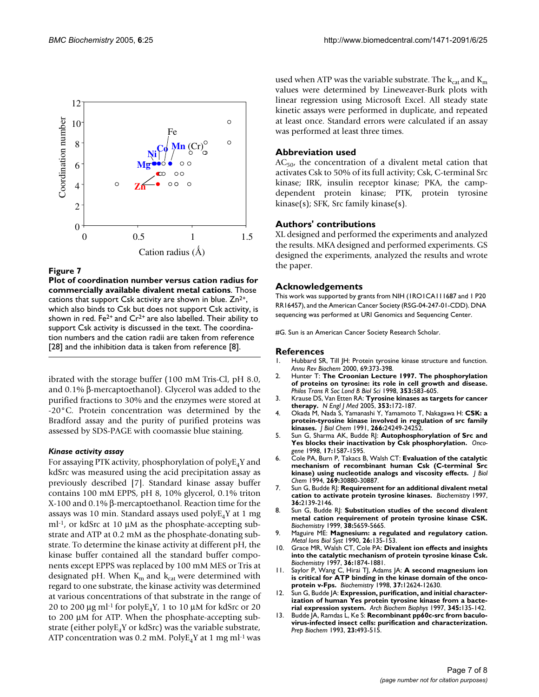

**Plot of coordination number versus cation radius for commercially available divalent metal cations**. Those cations that support Csk activity are shown in blue. Zn<sup>2+</sup>, which also binds to Csk but does not support Csk activity, is shown in red. Fe<sup>2+</sup> and  $Cr^{2+}$  are also labelled. Their ability to support Csk activity is discussed in the text. The coordination numbers and the cation radii are taken from reference [28] and the inhibition data is taken from reference [8].

ibrated with the storage buffer (100 mM Tris-Cl, pH 8.0, and 0.1% β-mercaptoethanol). Glycerol was added to the purified fractions to 30% and the enzymes were stored at -20°C. Protein concentration was determined by the Bradford assay and the purity of purified proteins was assessed by SDS-PAGE with coomassie blue staining.

#### *Kinase activity assay*

For assaying PTK activity, phosphorylation of polyE4Y and kdSrc was measured using the acid precipitation assay as previously described [7]. Standard kinase assay buffer contains 100 mM EPPS, pH 8, 10% glycerol, 0.1% triton X-100 and 0.1% β-mercaptoethanol. Reaction time for the assays was 10 min. Standard assays used  $polyE_4Y$  at 1 mg  $ml<sup>-1</sup>$ , or kdSrc at 10  $µM$  as the phosphate-accepting substrate and ATP at 0.2 mM as the phosphate-donating substrate. To determine the kinase activity at different pH, the kinase buffer contained all the standard buffer components except EPPS was replaced by 100 mM MES or Tris at designated pH. When  $K<sub>m</sub>$  and  $K<sub>cat</sub>$  were determined with regard to one substrate, the kinase activity was determined at various concentrations of that substrate in the range of 20 to 200  $\mu$ g ml<sup>-1</sup> for poly $E_4$ Y, 1 to 10  $\mu$ M for kdSrc or 20 to 200 µM for ATP. When the phosphate-accepting substrate (either  $polyE_4Y$  or kdSrc) was the variable substrate, ATP concentration was 0.2 mM. Poly $E_4$ Y at 1 mg ml<sup>-1</sup> was

used when ATP was the variable substrate. The  $k_{cat}$  and  $K_m$ values were determined by Lineweaver-Burk plots with linear regression using Microsoft Excel. All steady state kinetic assays were performed in duplicate, and repeated at least once. Standard errors were calculated if an assay was performed at least three times.

#### **Abbreviation used**

 $AC_{50}$ , the concentration of a divalent metal cation that activates Csk to 50% of its full activity; Csk, C-terminal Src kinase; IRK, insulin receptor kinase; PKA, the campdependent protein kinase; PTK, protein tyrosine kinase(s); SFK, Src family kinase(s).

#### **Authors' contributions**

XL designed and performed the experiments and analyzed the results. MKA designed and performed experiments. GS designed the experiments, analyzed the results and wrote the paper.

#### **Acknowledgements**

This work was supported by grants from NIH (1RO1CA111687 and 1 P20 RR16457), and the American Cancer Society (RSG-04-247-01-CDD). DNA sequencing was performed at URI Genomics and Sequencing Center.

#G. Sun is an American Cancer Society Research Scholar.

#### **References**

- 1. Hubbard SR, Till JH: [Protein tyrosine kinase structure and function.](http://www.ncbi.nlm.nih.gov/entrez/query.fcgi?cmd=Retrieve&db=PubMed&dopt=Abstract&list_uids=10966463) *Annu Rev Biochem* 2000, 69:373-398.
- 2. Hunter T: **[The Croonian Lecture 1997. The phosphorylation](http://www.ncbi.nlm.nih.gov/entrez/query.fcgi?cmd=Retrieve&db=PubMed&dopt=Abstract&list_uids=9602534) [of proteins on tyrosine: its role in cell growth and disease.](http://www.ncbi.nlm.nih.gov/entrez/query.fcgi?cmd=Retrieve&db=PubMed&dopt=Abstract&list_uids=9602534)** *Philos Trans R Soc Lond B Biol Sci* 1998, **353:**583-605.
- 3. Krause DS, Van Etten RA: **[Tyrosine kinases as targets for cancer](http://www.ncbi.nlm.nih.gov/entrez/query.fcgi?cmd=Retrieve&db=PubMed&dopt=Abstract&list_uids=16014887) [therapy.](http://www.ncbi.nlm.nih.gov/entrez/query.fcgi?cmd=Retrieve&db=PubMed&dopt=Abstract&list_uids=16014887)** *N Engl J Med* 2005, **353:**172-187.
- 4. Okada M, Nada S, Yamanashi Y, Yamamoto T, Nakagawa H: **[CSK: a](http://www.ncbi.nlm.nih.gov/entrez/query.fcgi?cmd=Retrieve&db=PubMed&dopt=Abstract&list_uids=1722201) [protein-tyrosine kinase involved in regulation of src family](http://www.ncbi.nlm.nih.gov/entrez/query.fcgi?cmd=Retrieve&db=PubMed&dopt=Abstract&list_uids=1722201) [kinases.](http://www.ncbi.nlm.nih.gov/entrez/query.fcgi?cmd=Retrieve&db=PubMed&dopt=Abstract&list_uids=1722201)** *J Biol Chem* 1991, **266:**24249-24252.
- 5. Sun G, Sharma AK, Budde RJ: **[Autophosphorylation of Src and](http://www.ncbi.nlm.nih.gov/entrez/query.fcgi?cmd=Retrieve&db=PubMed&dopt=Abstract&list_uids=9794236) [Yes blocks their inactivation by Csk phosphorylation.](http://www.ncbi.nlm.nih.gov/entrez/query.fcgi?cmd=Retrieve&db=PubMed&dopt=Abstract&list_uids=9794236)** *Oncogene* 1998, **17:**1587-1595.
- 6. Cole PA, Burn P, Takacs B, Walsh CT: **[Evaluation of the catalytic](http://www.ncbi.nlm.nih.gov/entrez/query.fcgi?cmd=Retrieve&db=PubMed&dopt=Abstract&list_uids=7527038) [mechanism of recombinant human Csk \(C-terminal Src](http://www.ncbi.nlm.nih.gov/entrez/query.fcgi?cmd=Retrieve&db=PubMed&dopt=Abstract&list_uids=7527038) [kinase\) using nucleotide analogs and viscosity effects.](http://www.ncbi.nlm.nih.gov/entrez/query.fcgi?cmd=Retrieve&db=PubMed&dopt=Abstract&list_uids=7527038)** *J Biol Chem* 1994, **269:**30880-30887.
- 7. Sun G, Budde RJ: **[Requirement for an additional divalent metal](http://www.ncbi.nlm.nih.gov/entrez/query.fcgi?cmd=Retrieve&db=PubMed&dopt=Abstract&list_uids=9047313) [cation to activate protein tyrosine kinases.](http://www.ncbi.nlm.nih.gov/entrez/query.fcgi?cmd=Retrieve&db=PubMed&dopt=Abstract&list_uids=9047313)** *Biochemistry* 1997, **36:**2139-2146.
- 8. Sun G, Budde RJ: **[Substitution studies of the second divalent](http://www.ncbi.nlm.nih.gov/entrez/query.fcgi?cmd=Retrieve&db=PubMed&dopt=Abstract&list_uids=10220355) [metal cation requirement of protein tyrosine kinase CSK.](http://www.ncbi.nlm.nih.gov/entrez/query.fcgi?cmd=Retrieve&db=PubMed&dopt=Abstract&list_uids=10220355)** *Biochemistry* 1999, **38:**5659-5665.
- 9. Maguire ME: **Magnesium: a regulated and regulatory cation.** *Metal Ions Biol Syst* 1990, **26:**135-153.
- 10. Grace MR, Walsh CT, Cole PA: **[Divalent ion effects and insights](http://www.ncbi.nlm.nih.gov/entrez/query.fcgi?cmd=Retrieve&db=PubMed&dopt=Abstract&list_uids=9048573) [into the catalytic mechanism of protein tyrosine kinase Csk.](http://www.ncbi.nlm.nih.gov/entrez/query.fcgi?cmd=Retrieve&db=PubMed&dopt=Abstract&list_uids=9048573)** *Biochemistry* 1997, **36:**1874-1881.
- 11. Saylor P, Wang C, Hirai TJ, Adams JA: **[A second magnesium ion](http://www.ncbi.nlm.nih.gov/entrez/query.fcgi?cmd=Retrieve&db=PubMed&dopt=Abstract&list_uids=9730835) [is critical for ATP binding in the kinase domain of the onco](http://www.ncbi.nlm.nih.gov/entrez/query.fcgi?cmd=Retrieve&db=PubMed&dopt=Abstract&list_uids=9730835)[protein v-Fps.](http://www.ncbi.nlm.nih.gov/entrez/query.fcgi?cmd=Retrieve&db=PubMed&dopt=Abstract&list_uids=9730835)** *Biochemistry* 1998, **37:**12624-12630.
- 12. Sun G, Budde JA: **[Expression, purification, and initial character](http://www.ncbi.nlm.nih.gov/entrez/query.fcgi?cmd=Retrieve&db=PubMed&dopt=Abstract&list_uids=9281320)[ization of human Yes protein tyrosine kinase from a bacte](http://www.ncbi.nlm.nih.gov/entrez/query.fcgi?cmd=Retrieve&db=PubMed&dopt=Abstract&list_uids=9281320)[rial expression system.](http://www.ncbi.nlm.nih.gov/entrez/query.fcgi?cmd=Retrieve&db=PubMed&dopt=Abstract&list_uids=9281320)** *Arch Biochem Biophys* 1997, **345:**135-142.
- 13. Budde JA, Ramdas L, Ke S: **[Recombinant pp60c-src from baculo](http://www.ncbi.nlm.nih.gov/entrez/query.fcgi?cmd=Retrieve&db=PubMed&dopt=Abstract&list_uids=7504254)[virus-infected insect cells: purification and characterization.](http://www.ncbi.nlm.nih.gov/entrez/query.fcgi?cmd=Retrieve&db=PubMed&dopt=Abstract&list_uids=7504254)** *Prep Biochem* 1993, **23:**493-515.